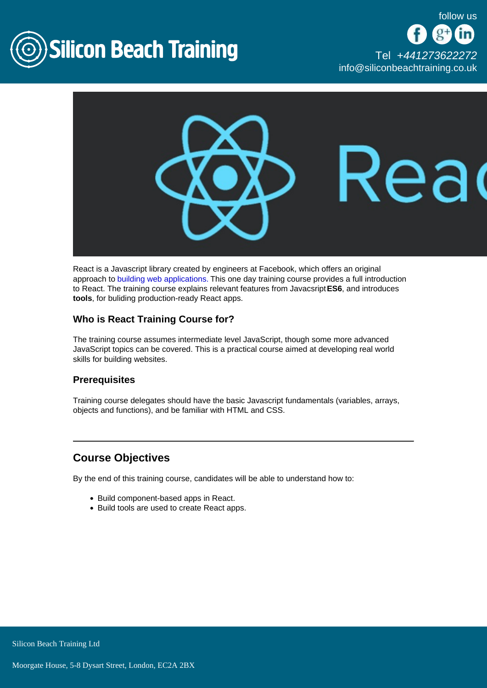

[Tel +44](tel:+441273622272)1273622272 [info@siliconbeachtraining.co.uk](/var/www/html/siliconbeachtraining.co.uk/public/mailTo:info@siliconbeachtraining.co.uk)

React is a Javascript library created by engineers at Facebook, which offers an original approach to [building web applications.](/web-design-training) This one day training course provides a full introduction to React. The training course explains relevant features from Javacsript ES6, and introduces tools , for buliding production-ready React apps.

# Who is React Training Course for?

The training course assumes intermediate level JavaScript, though some more advanced JavaScript topics can be covered. This is a practical course aimed at developing real world skills for building websites.

#### **Prerequisites**

Training course delegates should have the basic Javascript fundamentals (variables, arrays, objects and functions), and be familiar with HTML and CSS.

# Course Objectives

By the end of this training course, candidates will be able to understand how to:

- Build component-based apps in React.
- Build tools are used to create React apps.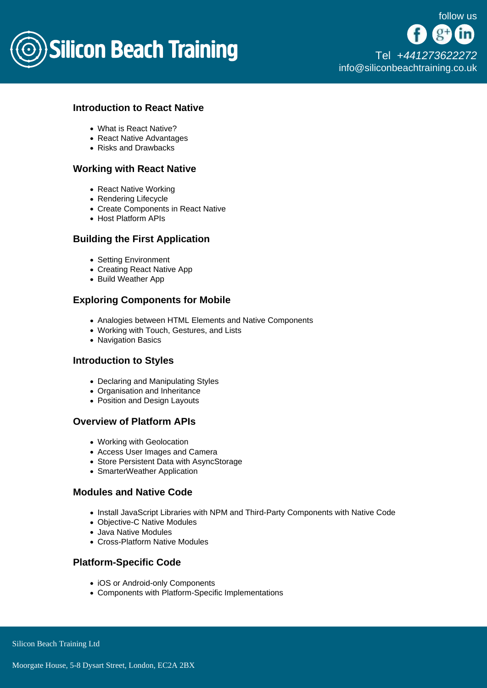

# Introduction to React Native

- What is React Native?
- React Native Advantages
- Risks and Drawbacks

## Working with React Native

- React Native Working
- Rendering Lifecycle
- Create Components in React Native
- Host Platform APIs

# Building the First Application

- Setting Environment
- Creating React Native App
- Build Weather App

### Exploring Components for Mobile

- Analogies between HTML Elements and Native Components
- Working with Touch, Gestures, and Lists
- Navigation Basics

#### Introduction to Styles

- Declaring and Manipulating Styles
- Organisation and Inheritance
- Position and Design Layouts

# Overview of Platform APIs

- Working with Geolocation
- Access User Images and Camera
- Store Persistent Data with AsyncStorage
- SmarterWeather Application

### Modules and Native Code

- Install JavaScript Libraries with NPM and Third-Party Components with Native Code
- Objective-C Native Modules
- Java Native Modules
- Cross-Platform Native Modules

## Platform-Specific Code

- iOS or Android-only Components
- Components with Platform-Specific Implementations

Silicon Beach Training Ltd